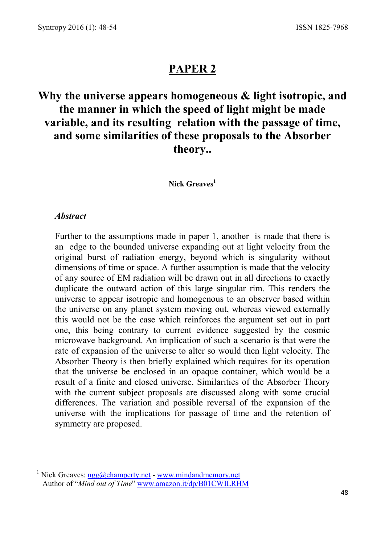## PAPER 2

## Why the universe appears homogeneous & light isotropic, and the manner in which the speed of light might be made variable, and its resulting relation with the passage of time, and some similarities of these proposals to the Absorber theory..

Nick Greaves<sup>1</sup>

## Abstract

-

Further to the assumptions made in paper 1, another is made that there is an edge to the bounded universe expanding out at light velocity from the original burst of radiation energy, beyond which is singularity without dimensions of time or space. A further assumption is made that the velocity of any source of EM radiation will be drawn out in all directions to exactly duplicate the outward action of this large singular rim. This renders the universe to appear isotropic and homogenous to an observer based within the universe on any planet system moving out, whereas viewed externally this would not be the case which reinforces the argument set out in part one, this being contrary to current evidence suggested by the cosmic microwave background. An implication of such a scenario is that were the rate of expansion of the universe to alter so would then light velocity. The Absorber Theory is then briefly explained which requires for its operation that the universe be enclosed in an opaque container, which would be a result of a finite and closed universe. Similarities of the Absorber Theory with the current subject proposals are discussed along with some crucial differences. The variation and possible reversal of the expansion of the universe with the implications for passage of time and the retention of symmetry are proposed.

<sup>&</sup>lt;sup>1</sup> Nick Greaves: ngg@champerty.net - www.mindandmemory.net Author of "Mind out of Time" www.amazon.it/dp/B01CWILRHM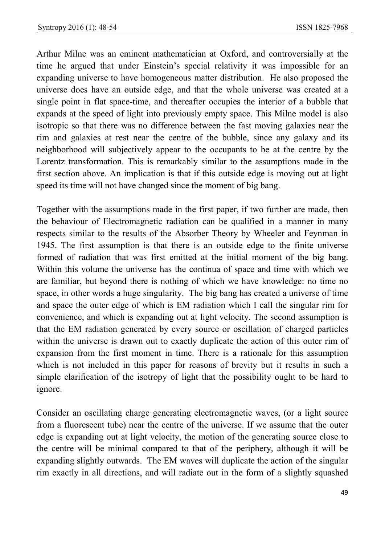Arthur Milne was an eminent mathematician at Oxford, and controversially at the time he argued that under Einstein's special relativity it was impossible for an expanding universe to have homogeneous matter distribution. He also proposed the universe does have an outside edge, and that the whole universe was created at a single point in flat space-time, and thereafter occupies the interior of a bubble that expands at the speed of light into previously empty space. This Milne model is also isotropic so that there was no difference between the fast moving galaxies near the rim and galaxies at rest near the centre of the bubble, since any galaxy and its neighborhood will subjectively appear to the occupants to be at the centre by the Lorentz transformation. This is remarkably similar to the assumptions made in the first section above. An implication is that if this outside edge is moving out at light speed its time will not have changed since the moment of big bang.

Together with the assumptions made in the first paper, if two further are made, then the behaviour of Electromagnetic radiation can be qualified in a manner in many respects similar to the results of the Absorber Theory by Wheeler and Feynman in 1945. The first assumption is that there is an outside edge to the finite universe formed of radiation that was first emitted at the initial moment of the big bang. Within this volume the universe has the continua of space and time with which we are familiar, but beyond there is nothing of which we have knowledge: no time no space, in other words a huge singularity. The big bang has created a universe of time and space the outer edge of which is EM radiation which I call the singular rim for convenience, and which is expanding out at light velocity. The second assumption is that the EM radiation generated by every source or oscillation of charged particles within the universe is drawn out to exactly duplicate the action of this outer rim of expansion from the first moment in time. There is a rationale for this assumption which is not included in this paper for reasons of brevity but it results in such a simple clarification of the isotropy of light that the possibility ought to be hard to ignore.

Consider an oscillating charge generating electromagnetic waves, (or a light source from a fluorescent tube) near the centre of the universe. If we assume that the outer edge is expanding out at light velocity, the motion of the generating source close to the centre will be minimal compared to that of the periphery, although it will be expanding slightly outwards. The EM waves will duplicate the action of the singular rim exactly in all directions, and will radiate out in the form of a slightly squashed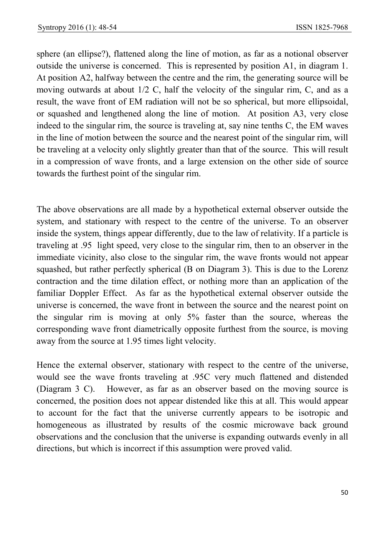sphere (an ellipse?), flattened along the line of motion, as far as a notional observer outside the universe is concerned. This is represented by position A1, in diagram 1. At position A2, halfway between the centre and the rim, the generating source will be moving outwards at about 1/2 C, half the velocity of the singular rim, C, and as a result, the wave front of EM radiation will not be so spherical, but more ellipsoidal, or squashed and lengthened along the line of motion. At position A3, very close indeed to the singular rim, the source is traveling at, say nine tenths C, the EM waves in the line of motion between the source and the nearest point of the singular rim, will be traveling at a velocity only slightly greater than that of the source. This will result in a compression of wave fronts, and a large extension on the other side of source towards the furthest point of the singular rim.

The above observations are all made by a hypothetical external observer outside the system, and stationary with respect to the centre of the universe. To an observer inside the system, things appear differently, due to the law of relativity. If a particle is traveling at .95 light speed, very close to the singular rim, then to an observer in the immediate vicinity, also close to the singular rim, the wave fronts would not appear squashed, but rather perfectly spherical (B on Diagram 3). This is due to the Lorenz contraction and the time dilation effect, or nothing more than an application of the familiar Doppler Effect. As far as the hypothetical external observer outside the universe is concerned, the wave front in between the source and the nearest point on the singular rim is moving at only 5% faster than the source, whereas the corresponding wave front diametrically opposite furthest from the source, is moving away from the source at 1.95 times light velocity.

Hence the external observer, stationary with respect to the centre of the universe, would see the wave fronts traveling at .95C very much flattened and distended (Diagram 3 C). However, as far as an observer based on the moving source is concerned, the position does not appear distended like this at all. This would appear to account for the fact that the universe currently appears to be isotropic and homogeneous as illustrated by results of the cosmic microwave back ground observations and the conclusion that the universe is expanding outwards evenly in all directions, but which is incorrect if this assumption were proved valid.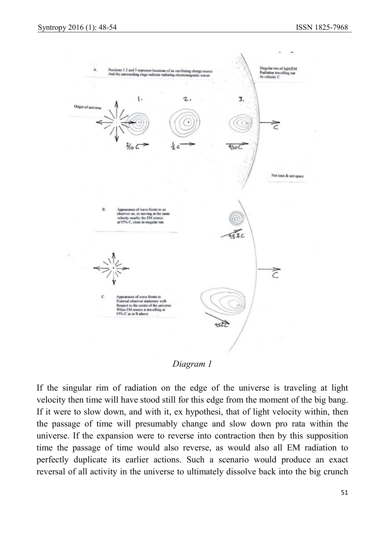

Diagram 1

If the singular rim of radiation on the edge of the universe is traveling at light velocity then time will have stood still for this edge from the moment of the big bang. If it were to slow down, and with it, ex hypothesi, that of light velocity within, then the passage of time will presumably change and slow down pro rata within the universe. If the expansion were to reverse into contraction then by this supposition time the passage of time would also reverse, as would also all EM radiation to perfectly duplicate its earlier actions. Such a scenario would produce an exact reversal of all activity in the universe to ultimately dissolve back into the big crunch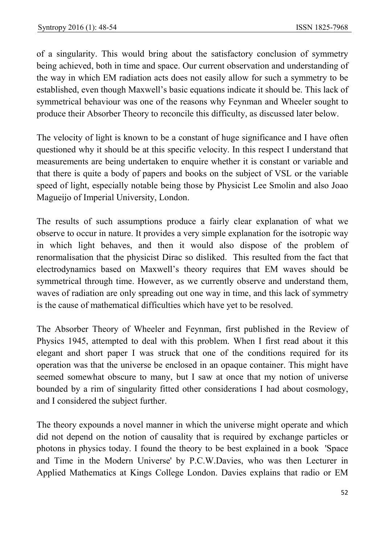of a singularity. This would bring about the satisfactory conclusion of symmetry being achieved, both in time and space. Our current observation and understanding of the way in which EM radiation acts does not easily allow for such a symmetry to be established, even though Maxwell's basic equations indicate it should be. This lack of symmetrical behaviour was one of the reasons why Feynman and Wheeler sought to produce their Absorber Theory to reconcile this difficulty, as discussed later below.

The velocity of light is known to be a constant of huge significance and I have often questioned why it should be at this specific velocity. In this respect I understand that measurements are being undertaken to enquire whether it is constant or variable and that there is quite a body of papers and books on the subject of VSL or the variable speed of light, especially notable being those by Physicist Lee Smolin and also Joao Magueijo of Imperial University, London.

The results of such assumptions produce a fairly clear explanation of what we observe to occur in nature. It provides a very simple explanation for the isotropic way in which light behaves, and then it would also dispose of the problem of renormalisation that the physicist Dirac so disliked. This resulted from the fact that electrodynamics based on Maxwell's theory requires that EM waves should be symmetrical through time. However, as we currently observe and understand them, waves of radiation are only spreading out one way in time, and this lack of symmetry is the cause of mathematical difficulties which have yet to be resolved.

The Absorber Theory of Wheeler and Feynman, first published in the Review of Physics 1945, attempted to deal with this problem. When I first read about it this elegant and short paper I was struck that one of the conditions required for its operation was that the universe be enclosed in an opaque container. This might have seemed somewhat obscure to many, but I saw at once that my notion of universe bounded by a rim of singularity fitted other considerations I had about cosmology, and I considered the subject further.

The theory expounds a novel manner in which the universe might operate and which did not depend on the notion of causality that is required by exchange particles or photons in physics today. I found the theory to be best explained in a book 'Space and Time in the Modern Universe' by P.C.W.Davies, who was then Lecturer in Applied Mathematics at Kings College London. Davies explains that radio or EM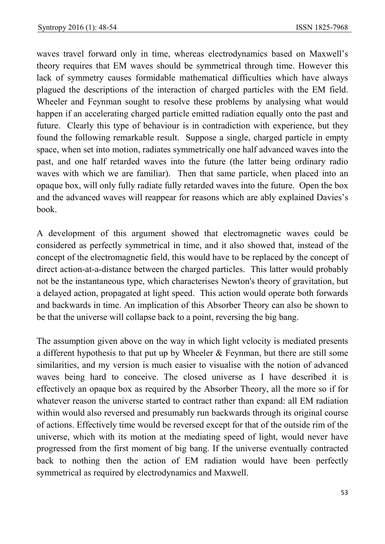waves travel forward only in time, whereas electrodynamics based on Maxwell's theory requires that EM waves should be symmetrical through time. However this lack of symmetry causes formidable mathematical difficulties which have always plagued the descriptions of the interaction of charged particles with the EM field. Wheeler and Feynman sought to resolve these problems by analysing what would happen if an accelerating charged particle emitted radiation equally onto the past and future. Clearly this type of behaviour is in contradiction with experience, but they found the following remarkable result. Suppose a single, charged particle in empty space, when set into motion, radiates symmetrically one half advanced waves into the past, and one half retarded waves into the future (the latter being ordinary radio waves with which we are familiar). Then that same particle, when placed into an opaque box, will only fully radiate fully retarded waves into the future. Open the box and the advanced waves will reappear for reasons which are ably explained Davies's book.

A development of this argument showed that electromagnetic waves could be considered as perfectly symmetrical in time, and it also showed that, instead of the concept of the electromagnetic field, this would have to be replaced by the concept of direct action-at-a-distance between the charged particles. This latter would probably not be the instantaneous type, which characterises Newton's theory of gravitation, but a delayed action, propagated at light speed. This action would operate both forwards and backwards in time. An implication of this Absorber Theory can also be shown to be that the universe will collapse back to a point, reversing the big bang.

The assumption given above on the way in which light velocity is mediated presents a different hypothesis to that put up by Wheeler & Feynman, but there are still some similarities, and my version is much easier to visualise with the notion of advanced waves being hard to conceive. The closed universe as I have described it is effectively an opaque box as required by the Absorber Theory, all the more so if for whatever reason the universe started to contract rather than expand: all EM radiation within would also reversed and presumably run backwards through its original course of actions. Effectively time would be reversed except for that of the outside rim of the universe, which with its motion at the mediating speed of light, would never have progressed from the first moment of big bang. If the universe eventually contracted back to nothing then the action of EM radiation would have been perfectly symmetrical as required by electrodynamics and Maxwell.